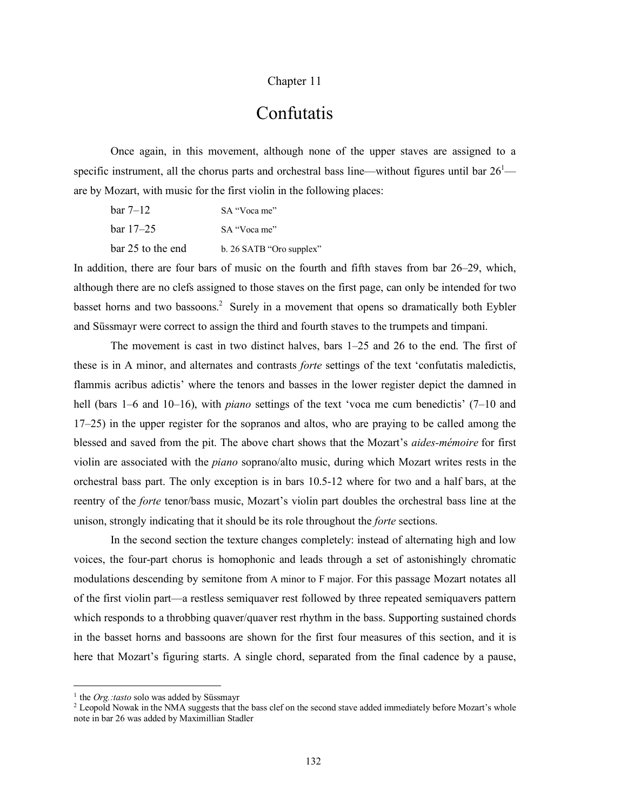## Chapter 11

## Confutatis

Once again, in this movement, although none of the upper staves are assigned to a specific instrument, all the chorus parts and orchestral bass line—without figures until bar  $26<sup>1</sup>$  are by Mozart, with music for the first violin in the following places:

| $bar 7-12$        | SA "Voca me"             |
|-------------------|--------------------------|
| $bar 17-25$       | SA "Voca me"             |
| bar 25 to the end | b. 26 SATB "Oro supplex" |

In addition, there are four bars of music on the fourth and fifth staves from bar 26–29, which, although there are no clefs assigned to those staves on the first page, can only be intended for two basset horns and two bassoons.<sup>2</sup> Surely in a movement that opens so dramatically both Eybler and Süssmayr were correct to assign the third and fourth staves to the trumpets and timpani.

The movement is cast in two distinct halves, bars 1–25 and 26 to the end. The first of these is in A minor, and alternates and contrasts *forte* settings of the text 'confutatis maledictis, flammis acribus adictis' where the tenors and basses in the lower register depict the damned in hell (bars 1–6 and 10–16), with *piano* settings of the text 'voca me cum benedictis' (7–10 and 17–25) in the upper register for the sopranos and altos, who are praying to be called among the blessed and saved from the pit. The above chart shows that the Mozart's *aides-mémoire* for first violin are associated with the *piano* soprano/alto music, during which Mozart writes rests in the orchestral bass part. The only exception is in bars 10.5-12 where for two and a half bars, at the reentry of the *forte* tenor/bass music, Mozart's violin part doubles the orchestral bass line at the unison, strongly indicating that it should be its role throughout the *forte* sections.

In the second section the texture changes completely: instead of alternating high and low voices, the four-part chorus is homophonic and leads through a set of astonishingly chromatic modulations descending by semitone from A minor to F major. For this passage Mozart notates all of the first violin part—a restless semiquaver rest followed by three repeated semiquavers pattern which responds to a throbbing quaver/quaver rest rhythm in the bass. Supporting sustained chords in the basset horns and bassoons are shown for the first four measures of this section, and it is here that Mozart's figuring starts. A single chord, separated from the final cadence by a pause,

 <sup>1</sup> the *Org.:tasto* solo was added by Süssmayr

<sup>&</sup>lt;sup>2</sup> Leopold Nowak in the NMA suggests that the bass clef on the second stave added immediately before Mozart's whole note in bar 26 was added by Maximillian Stadler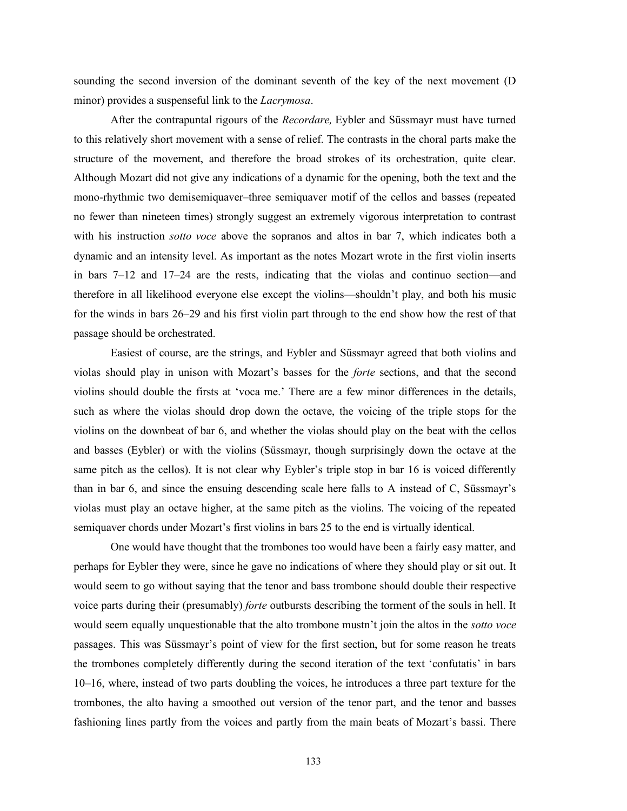sounding the second inversion of the dominant seventh of the key of the next movement (D minor) provides a suspenseful link to the *Lacrymosa*.

After the contrapuntal rigours of the *Recordare,* Eybler and Süssmayr must have turned to this relatively short movement with a sense of relief. The contrasts in the choral parts make the structure of the movement, and therefore the broad strokes of its orchestration, quite clear. Although Mozart did not give any indications of a dynamic for the opening, both the text and the mono-rhythmic two demisemiquaver–three semiquaver motif of the cellos and basses (repeated no fewer than nineteen times) strongly suggest an extremely vigorous interpretation to contrast with his instruction *sotto voce* above the sopranos and altos in bar 7, which indicates both a dynamic and an intensity level. As important as the notes Mozart wrote in the first violin inserts in bars 7–12 and 17–24 are the rests, indicating that the violas and continuo section—and therefore in all likelihood everyone else except the violins—shouldn't play, and both his music for the winds in bars 26–29 and his first violin part through to the end show how the rest of that passage should be orchestrated.

Easiest of course, are the strings, and Eybler and Süssmayr agreed that both violins and violas should play in unison with Mozart's basses for the *forte* sections, and that the second violins should double the firsts at 'voca me.' There are a few minor differences in the details, such as where the violas should drop down the octave, the voicing of the triple stops for the violins on the downbeat of bar 6, and whether the violas should play on the beat with the cellos and basses (Eybler) or with the violins (Süssmayr, though surprisingly down the octave at the same pitch as the cellos). It is not clear why Eybler's triple stop in bar 16 is voiced differently than in bar 6, and since the ensuing descending scale here falls to A instead of C, Süssmayr's violas must play an octave higher, at the same pitch as the violins. The voicing of the repeated semiquaver chords under Mozart's first violins in bars 25 to the end is virtually identical.

One would have thought that the trombones too would have been a fairly easy matter, and perhaps for Eybler they were, since he gave no indications of where they should play or sit out. It would seem to go without saying that the tenor and bass trombone should double their respective voice parts during their (presumably) *forte* outbursts describing the torment of the souls in hell. It would seem equally unquestionable that the alto trombone mustn't join the altos in the *sotto voce* passages. This was Süssmayr's point of view for the first section, but for some reason he treats the trombones completely differently during the second iteration of the text 'confutatis' in bars 10–16, where, instead of two parts doubling the voices, he introduces a three part texture for the trombones, the alto having a smoothed out version of the tenor part, and the tenor and basses fashioning lines partly from the voices and partly from the main beats of Mozart's bassi. There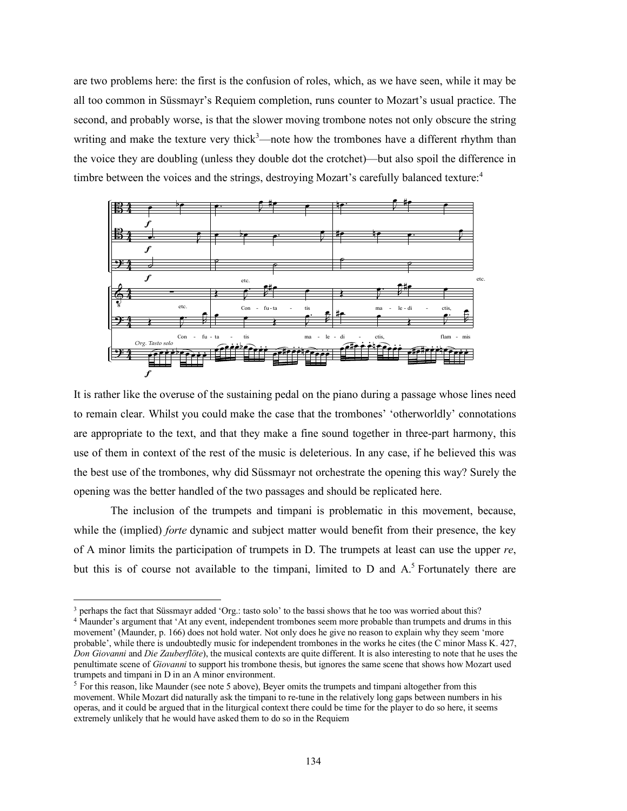are two problems here: the first is the confusion of roles, which, as we have seen, while it may be all too common in Süssmayr's Requiem completion, runs counter to Mozart's usual practice. The second, and probably worse, is that the slower moving trombone notes not only obscure the string writing and make the texture very thick<sup>3</sup>—note how the trombones have a different rhythm than the voice they are doubling (unless they double dot the crotchet)—but also spoil the difference in timbre between the voices and the strings, destroying Mozart's carefully balanced texture.<sup>4</sup>



It is rather like the overuse of the sustaining pedal on the piano during a passage whose lines need to remain clear. Whilst you could make the case that the trombones' 'otherworldly' connotations are appropriate to the text, and that they make a fine sound together in three-part harmony, this use of them in context of the rest of the music is deleterious. In any case, if he believed this was the best use of the trombones, why did Süssmayr not orchestrate the opening this way? Surely the opening was the better handled of the two passages and should be replicated here.

The inclusion of the trumpets and timpani is problematic in this movement, because, while the *(implied) forte* dynamic and subject matter would benefit from their presence, the key of A minor limits the participation of trumpets in D. The trumpets at least can use the upper *re*, but this is of course not available to the timpani, limited to  $D$  and  $A<sup>5</sup>$  Fortunately there are

<sup>&</sup>lt;sup>3</sup> perhaps the fact that Süssmayr added 'Org.: tasto solo' to the bassi shows that he too was worried about this?

<sup>&</sup>lt;sup>4</sup> Maunder's argument that 'At any event, independent trombones seem more probable than trumpets and drums in this movement' (Maunder, p. 166) does not hold water. Not only does he give no reason to explain why they seem 'more probable', while there is undoubtedly music for independent trombones in the works he cites (the C minor Mass K. 427, *Don Giovanni* and *Die Zauberflöte*), the musical contexts are quite different. It is also interesting to note that he uses the penultimate scene of *Giovanni* to support his trombone thesis, but ignores the same scene that shows how Mozart used trumpets and timpani in D in an A minor environment.

<sup>&</sup>lt;sup>5</sup> For this reason, like Maunder (see note 5 above), Beyer omits the trumpets and timpani altogether from this movement. While Mozart did naturally ask the timpani to re-tune in the relatively long gaps between numbers in his operas, and it could be argued that in the liturgical context there could be time for the player to do so here, it seems extremely unlikely that he would have asked them to do so in the Requiem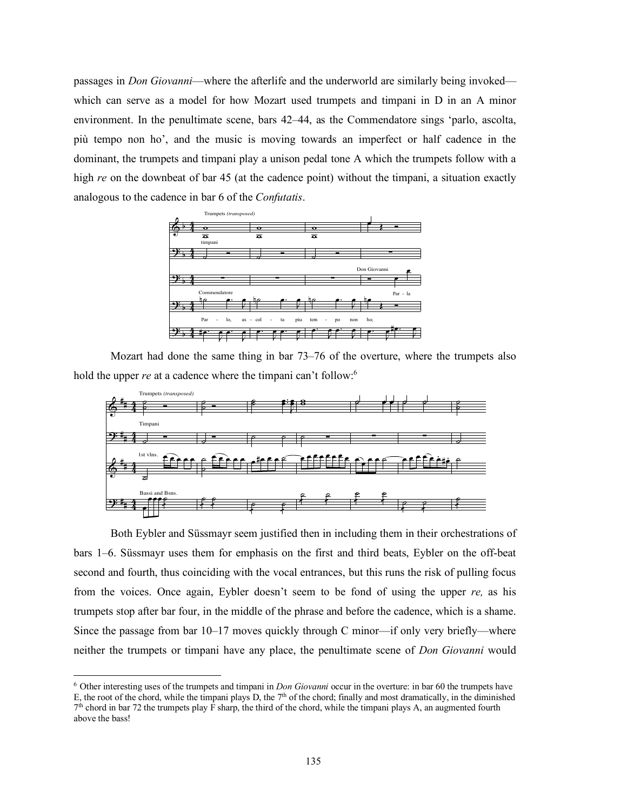passages in *Don Giovanni*—where the afterlife and the underworld are similarly being invoked which can serve as a model for how Mozart used trumpets and timpani in D in an A minor environment. In the penultimate scene, bars 42–44, as the Commendatore sings 'parlo, ascolta, più tempo non ho', and the music is moving towards an imperfect or half cadence in the dominant, the trumpets and timpani play a unison pedal tone A which the trumpets follow with a high *re* on the downbeat of bar 45 (at the cadence point) without the timpani, a situation exactly analogous to the cadence in bar 6 of the *Confutatis*.



Mozart had done the same thing in bar 73–76 of the overture, where the trumpets also hold the upper *re* at a cadence where the timpani can't follow.<sup>6</sup>



Both Eybler and Süssmayr seem justified then in including them in their orchestrations of bars 1–6. Süssmayr uses them for emphasis on the first and third beats, Eybler on the off-beat second and fourth, thus coinciding with the vocal entrances, but this runs the risk of pulling focus from the voices. Once again, Eybler doesn't seem to be fond of using the upper *re,* as his trumpets stop after bar four, in the middle of the phrase and before the cadence, which is a shame. Since the passage from bar 10–17 moves quickly through C minor—if only very briefly—where neither the trumpets or timpani have any place, the penultimate scene of *Don Giovanni* would

 <sup>6</sup> Other interesting uses of the trumpets and timpani in *Don Giovanni* occur in the overture: in bar <sup>60</sup> the trumpets have E, the root of the chord, while the timpani plays D, the  $7<sup>th</sup>$  of the chord; finally and most dramatically, in the diminished  $7<sup>th</sup>$  chord in bar 72 the trumpets play F sharp, the third of the chord, while the timpani plays A, an augmented fourth above the bass!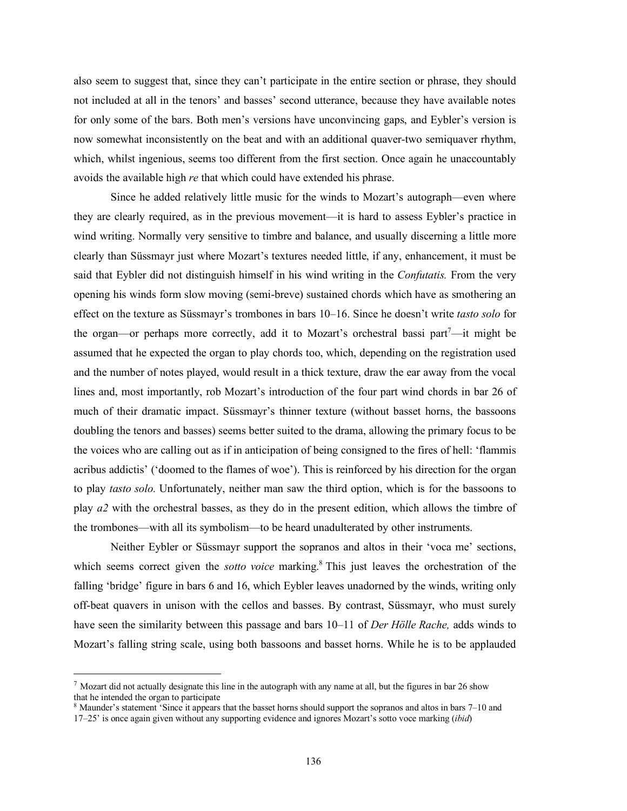also seem to suggest that, since they can't participate in the entire section or phrase, they should not included at all in the tenors' and basses' second utterance, because they have available notes for only some of the bars. Both men's versions have unconvincing gaps, and Eybler's version is now somewhat inconsistently on the beat and with an additional quaver-two semiquaver rhythm, which, whilst ingenious, seems too different from the first section. Once again he unaccountably avoids the available high *re* that which could have extended his phrase.

Since he added relatively little music for the winds to Mozart's autograph—even where they are clearly required, as in the previous movement—it is hard to assess Eybler's practice in wind writing. Normally very sensitive to timbre and balance, and usually discerning a little more clearly than Süssmayr just where Mozart's textures needed little, if any, enhancement, it must be said that Eybler did not distinguish himself in his wind writing in the *Confutatis.* From the very opening his winds form slow moving (semi-breve) sustained chords which have as smothering an effect on the texture as Süssmayr's trombones in bars 10–16. Since he doesn't write *tasto solo* for the organ—or perhaps more correctly, add it to Mozart's orchestral bassi part<sup>7</sup>—it might be assumed that he expected the organ to play chords too, which, depending on the registration used and the number of notes played, would result in a thick texture, draw the ear away from the vocal lines and, most importantly, rob Mozart's introduction of the four part wind chords in bar 26 of much of their dramatic impact. Süssmayr's thinner texture (without basset horns, the bassoons doubling the tenors and basses) seems better suited to the drama, allowing the primary focus to be the voices who are calling out as if in anticipation of being consigned to the fires of hell: 'flammis acribus addictis' ('doomed to the flames of woe'). This is reinforced by his direction for the organ to play *tasto solo.* Unfortunately, neither man saw the third option, which is for the bassoons to play *a2* with the orchestral basses, as they do in the present edition, which allows the timbre of the trombones—with all its symbolism—to be heard unadulterated by other instruments.

Neither Eybler or Süssmayr support the sopranos and altos in their 'voca me' sections, which seems correct given the *sotto voice* marking. <sup>8</sup> This just leaves the orchestration of the falling 'bridge' figure in bars 6 and 16, which Eybler leaves unadorned by the winds, writing only off-beat quavers in unison with the cellos and basses. By contrast, Süssmayr, who must surely have seen the similarity between this passage and bars 10–11 of *Der Hölle Rache,* adds winds to Mozart's falling string scale, using both bassoons and basset horns. While he is to be applauded

 $7$  Mozart did not actually designate this line in the autograph with any name at all, but the figures in bar 26 show that he intended the organ to participate

<sup>8</sup> Maunder's statement 'Since it appears that the basset horns should support the sopranos and altos in bars 7–10 and 17–25' is once again given without any supporting evidence and ignores Mozart's sotto voce marking (*ibid*)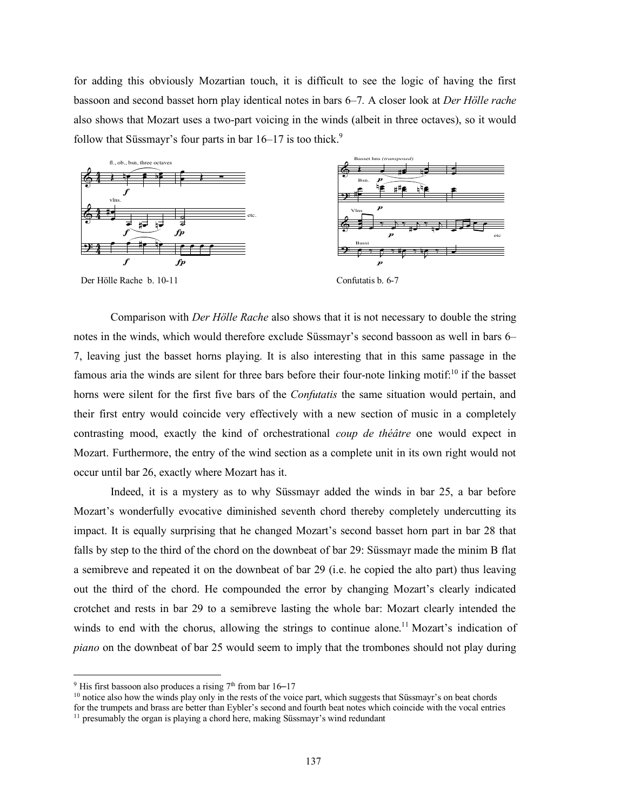for adding this obviously Mozartian touch, it is difficult to see the logic of having the first bassoon and second basset horn play identical notes in bars 6–7*.* A closer look at *Der Hölle rache* also shows that Mozart uses a two-part voicing in the winds (albeit in three octaves), so it would follow that Süssmayr's four parts in bar  $16-17$  is too thick.<sup>9</sup>



Comparison with *Der Hölle Rache* also shows that it is not necessary to double the string notes in the winds, which would therefore exclude Süssmayr's second bassoon as well in bars 6– 7, leaving just the basset horns playing. It is also interesting that in this same passage in the famous aria the winds are silent for three bars before their four-note linking motif:<sup>10</sup> if the basset horns were silent for the first five bars of the *Confutatis* the same situation would pertain, and their first entry would coincide very effectively with a new section of music in a completely contrasting mood, exactly the kind of orchestrational *coup de théâtre* one would expect in Mozart. Furthermore, the entry of the wind section as a complete unit in its own right would not occur until bar 26, exactly where Mozart has it.

Indeed, it is a mystery as to why Süssmayr added the winds in bar 25, a bar before Mozart's wonderfully evocative diminished seventh chord thereby completely undercutting its impact. It is equally surprising that he changed Mozart's second basset horn part in bar 28 that falls by step to the third of the chord on the downbeat of bar 29: Süssmayr made the minim B flat a semibreve and repeated it on the downbeat of bar 29 (i.e. he copied the alto part) thus leaving out the third of the chord. He compounded the error by changing Mozart's clearly indicated crotchet and rests in bar 29 to a semibreve lasting the whole bar: Mozart clearly intended the winds to end with the chorus, allowing the strings to continue alone.<sup>11</sup> Mozart's indication of *piano* on the downbeat of bar 25 would seem to imply that the trombones should not play during

 $9$  His first bassoon also produces a rising  $7<sup>th</sup>$  from bar 16–17

<sup>&</sup>lt;sup>10</sup> notice also how the winds play only in the rests of the voice part, which suggests that Süssmayr's on beat chords

for the trumpets and brass are better than Eybler's second and fourth beat notes which coincide with the vocal entries <sup>11</sup> presumably the organ is playing a chord here, making Süssmayr's wind redundant